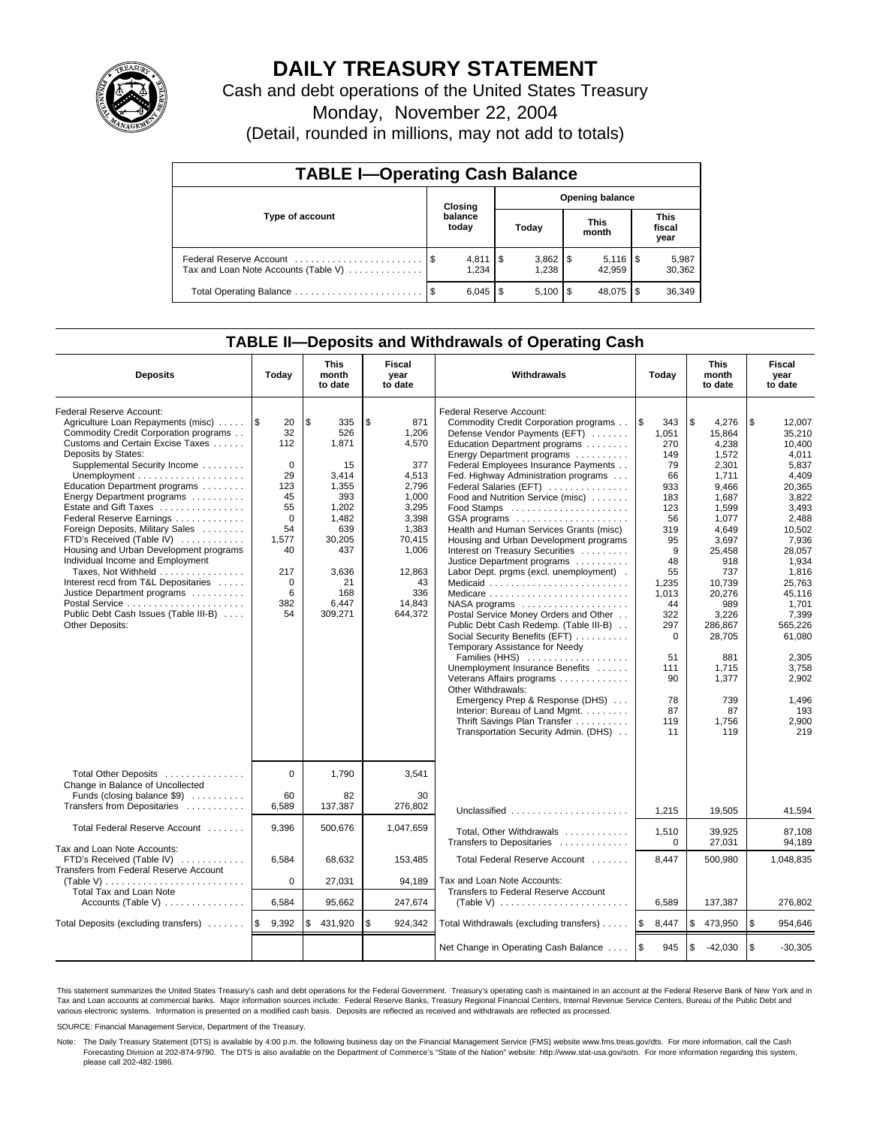

# **DAILY TREASURY STATEMENT**

Cash and debt operations of the United States Treasury

Monday, November 22, 2004

(Detail, rounded in millions, may not add to totals)

| <b>TABLE I-Operating Cash Balance</b>                           |  |                                   |  |              |  |                      |  |                               |  |  |
|-----------------------------------------------------------------|--|-----------------------------------|--|--------------|--|----------------------|--|-------------------------------|--|--|
| Type of account                                                 |  | <b>Opening balance</b><br>Closing |  |              |  |                      |  |                               |  |  |
|                                                                 |  | balance<br>today                  |  | Today        |  | <b>This</b><br>month |  | <b>This</b><br>fiscal<br>year |  |  |
| Federal Reserve Account<br>Tax and Loan Note Accounts (Table V) |  | $4,811$ \\$<br>1.234              |  | 1.238        |  | 42.959               |  | 5,987<br>30,362               |  |  |
|                                                                 |  | $6,045$   \$                      |  | $5,100$   \$ |  | 48,075               |  | 36,349                        |  |  |

### **TABLE II—Deposits and Withdrawals of Operating Cash**

| <b>Deposits</b>                                                                                                                                                                                                                                                                                                                                                                                                                                                                                                                                                                                                                                                                      | Today                                                                                                                                      | <b>This</b><br>month<br>to date                                                                                                              | Fiscal<br>year<br>to date                                                                                                                               | Withdrawals                                                                                                                                                                                                                                                                                                                                                                                                                                                                                                                                                                                                                                                                                                                                                                                                                                                                                                                                                                                                                    | <b>This</b><br>Today<br>month<br>to date                                                                                                                                                                  |                                                                                                                                                                                                                                                        | Fiscal<br>year<br>to date                                                                                                                                                                                                                                             |
|--------------------------------------------------------------------------------------------------------------------------------------------------------------------------------------------------------------------------------------------------------------------------------------------------------------------------------------------------------------------------------------------------------------------------------------------------------------------------------------------------------------------------------------------------------------------------------------------------------------------------------------------------------------------------------------|--------------------------------------------------------------------------------------------------------------------------------------------|----------------------------------------------------------------------------------------------------------------------------------------------|---------------------------------------------------------------------------------------------------------------------------------------------------------|--------------------------------------------------------------------------------------------------------------------------------------------------------------------------------------------------------------------------------------------------------------------------------------------------------------------------------------------------------------------------------------------------------------------------------------------------------------------------------------------------------------------------------------------------------------------------------------------------------------------------------------------------------------------------------------------------------------------------------------------------------------------------------------------------------------------------------------------------------------------------------------------------------------------------------------------------------------------------------------------------------------------------------|-----------------------------------------------------------------------------------------------------------------------------------------------------------------------------------------------------------|--------------------------------------------------------------------------------------------------------------------------------------------------------------------------------------------------------------------------------------------------------|-----------------------------------------------------------------------------------------------------------------------------------------------------------------------------------------------------------------------------------------------------------------------|
| Federal Reserve Account:<br>Agriculture Loan Repayments (misc)<br>Commodity Credit Corporation programs<br>Customs and Certain Excise Taxes<br>Deposits by States:<br>Supplemental Security Income<br>Unemployment $\dots\dots\dots\dots\dots\dots\dots$<br>Education Department programs<br>Energy Department programs<br>Estate and Gift Taxes<br>Federal Reserve Earnings<br>Foreign Deposits, Military Sales<br>FTD's Received (Table IV)<br>Housing and Urban Development programs<br>Individual Income and Employment<br>Taxes, Not Withheld<br>Interest recd from T&L Depositaries<br>Justice Department programs<br>Public Debt Cash Issues (Table III-B)<br>Other Deposits: | 1\$<br>20<br>32<br>112<br>$\mathbf 0$<br>29<br>123<br>45<br>55<br>$\mathbf 0$<br>54<br>1,577<br>40<br>217<br>$\mathbf 0$<br>6<br>382<br>54 | \$<br>335<br>526<br>1.871<br>15<br>3,414<br>1,355<br>393<br>1,202<br>1,482<br>639<br>30,205<br>437<br>3,636<br>21<br>168<br>6,447<br>309,271 | \$<br>871<br>1.206<br>4.570<br>377<br>4,513<br>2,796<br>1.000<br>3,295<br>3,398<br>1,383<br>70,415<br>1,006<br>12,863<br>43<br>336<br>14,843<br>644,372 | Federal Reserve Account:<br>Commodity Credit Corporation programs<br>Defense Vendor Payments (EFT)<br>Education Department programs<br>Energy Department programs<br>Federal Employees Insurance Payments<br>Fed. Highway Administration programs<br>Federal Salaries (EFT)<br>Food and Nutrition Service (misc)<br>GSA programs<br>Health and Human Services Grants (misc)<br>Housing and Urban Development programs<br>Interest on Treasury Securities<br>Justice Department programs<br>Labor Dept. prgms (excl. unemployment).<br>Medicaid<br>Medicare<br>$NASA$ programs $\ldots \ldots \ldots \ldots \ldots$<br>Postal Service Money Orders and Other<br>Public Debt Cash Redemp. (Table III-B)<br>Social Security Benefits (EFT)<br>Temporary Assistance for Needy<br>Families (HHS)<br>Unemployment Insurance Benefits<br>Veterans Affairs programs<br>Other Withdrawals:<br>Emergency Prep & Response (DHS)<br>Interior: Bureau of Land Mgmt.<br>Thrift Savings Plan Transfer<br>Transportation Security Admin. (DHS) | <b>S</b><br>343<br>1.051<br>270<br>149<br>79<br>66<br>933<br>183<br>123<br>56<br>319<br>95<br>9<br>48<br>55<br>1,235<br>1,013<br>44<br>322<br>297<br>$\Omega$<br>51<br>111<br>90<br>78<br>87<br>119<br>11 | \$<br>4,276<br>15.864<br>4.238<br>1,572<br>2,301<br>1.711<br>9,466<br>1.687<br>1.599<br>1,077<br>4,649<br>3,697<br>25,458<br>918<br>737<br>10.739<br>20,276<br>989<br>3,226<br>286.867<br>28,705<br>881<br>1,715<br>1,377<br>739<br>87<br>1,756<br>119 | \$<br>12,007<br>35.210<br>10.400<br>4,011<br>5,837<br>4.409<br>20,365<br>3,822<br>3.493<br>2,488<br>10,502<br>7,936<br>28,057<br>1,934<br>1,816<br>25.763<br>45,116<br>1,701<br>7,399<br>565.226<br>61,080<br>2.305<br>3,758<br>2,902<br>1.496<br>193<br>2,900<br>219 |
| Total Other Deposits<br>Change in Balance of Uncollected<br>Funds (closing balance \$9)<br>Transfers from Depositaries                                                                                                                                                                                                                                                                                                                                                                                                                                                                                                                                                               | $\Omega$<br>60<br>6,589                                                                                                                    | 1.790<br>82<br>137,387                                                                                                                       | 3.541<br>30<br>276,802                                                                                                                                  |                                                                                                                                                                                                                                                                                                                                                                                                                                                                                                                                                                                                                                                                                                                                                                                                                                                                                                                                                                                                                                |                                                                                                                                                                                                           |                                                                                                                                                                                                                                                        |                                                                                                                                                                                                                                                                       |
| Total Federal Reserve Account                                                                                                                                                                                                                                                                                                                                                                                                                                                                                                                                                                                                                                                        | 9,396                                                                                                                                      | 500,676                                                                                                                                      | 1,047,659                                                                                                                                               | Unclassified<br>Total, Other Withdrawals                                                                                                                                                                                                                                                                                                                                                                                                                                                                                                                                                                                                                                                                                                                                                                                                                                                                                                                                                                                       | 1,215<br>1,510                                                                                                                                                                                            | 19.505<br>39,925                                                                                                                                                                                                                                       | 41,594<br>87,108                                                                                                                                                                                                                                                      |
| Tax and Loan Note Accounts:<br>FTD's Received (Table IV)<br>Transfers from Federal Reserve Account<br>(Table V) $\ldots \ldots \ldots \ldots \ldots \ldots \ldots \ldots$                                                                                                                                                                                                                                                                                                                                                                                                                                                                                                            | 6,584<br>$\mathbf 0$                                                                                                                       | 68,632<br>27,031                                                                                                                             | 153,485<br>94,189                                                                                                                                       | Transfers to Depositaries<br>Total Federal Reserve Account<br>Tax and Loan Note Accounts:                                                                                                                                                                                                                                                                                                                                                                                                                                                                                                                                                                                                                                                                                                                                                                                                                                                                                                                                      | 0<br>8,447                                                                                                                                                                                                | 27,031<br>500,980                                                                                                                                                                                                                                      | 94,189<br>1,048,835                                                                                                                                                                                                                                                   |
| <b>Total Tax and Loan Note</b><br>Accounts (Table V) $\dots \dots \dots \dots$                                                                                                                                                                                                                                                                                                                                                                                                                                                                                                                                                                                                       | 6,584                                                                                                                                      | 95,662                                                                                                                                       | 247,674                                                                                                                                                 | Transfers to Federal Reserve Account                                                                                                                                                                                                                                                                                                                                                                                                                                                                                                                                                                                                                                                                                                                                                                                                                                                                                                                                                                                           | 6,589                                                                                                                                                                                                     | 137,387                                                                                                                                                                                                                                                | 276,802                                                                                                                                                                                                                                                               |
| Total Deposits (excluding transfers)                                                                                                                                                                                                                                                                                                                                                                                                                                                                                                                                                                                                                                                 | 9,392<br>l \$                                                                                                                              | 431,920<br>\$                                                                                                                                | \$<br>924,342                                                                                                                                           | Total Withdrawals (excluding transfers)                                                                                                                                                                                                                                                                                                                                                                                                                                                                                                                                                                                                                                                                                                                                                                                                                                                                                                                                                                                        | l\$<br>8,447                                                                                                                                                                                              | \$<br>473,950                                                                                                                                                                                                                                          | l \$<br>954,646                                                                                                                                                                                                                                                       |
|                                                                                                                                                                                                                                                                                                                                                                                                                                                                                                                                                                                                                                                                                      |                                                                                                                                            |                                                                                                                                              |                                                                                                                                                         | Net Change in Operating Cash Balance                                                                                                                                                                                                                                                                                                                                                                                                                                                                                                                                                                                                                                                                                                                                                                                                                                                                                                                                                                                           | l \$<br>945                                                                                                                                                                                               | \$<br>$-42,030$                                                                                                                                                                                                                                        | \$<br>$-30,305$                                                                                                                                                                                                                                                       |

This statement summarizes the United States Treasury's cash and debt operations for the Federal Government. Treasury's operating cash is maintained in an account at the Federal Reserve Bank of New York and in Tax and Loan accounts at commercial banks. Major information sources include: Federal Reserve Banks, Treasury Regional Financial Centers, Internal Revenue Service Centers, Bureau of the Public Debt and<br>various electronic s

SOURCE: Financial Management Service, Department of the Treasury.

Note: The Daily Treasury Statement (DTS) is available by 4:00 p.m. the following business day on the Financial Management Service (FMS) website www.fms.treas.gov/dts. For more information, call the Cash Forecasting Division at 202-874-9790. The DTS is also available on the Department of Commerce's "State of the Nation" website: http://www.stat-usa.gov/sotn. For more information regarding this system, please call 202-482-1986.